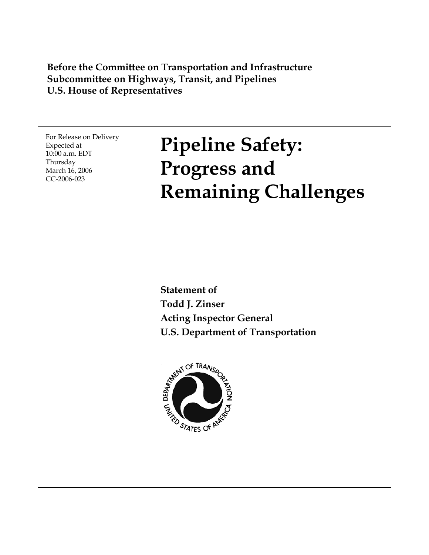#### **Before the Committee on Transportation and Infrastructure Subcommittee on Highways, Transit, and Pipelines U.S. House of Representatives**

For Release on Delivery Expected at 10:00 a.m. EDT Thursday March 16, 2006 CC-2006-023

# **Pipeline Safety: Progress and Remaining Challenges**

**Statement of Todd J. Zinser Acting Inspector General U.S. Department of Transportation**

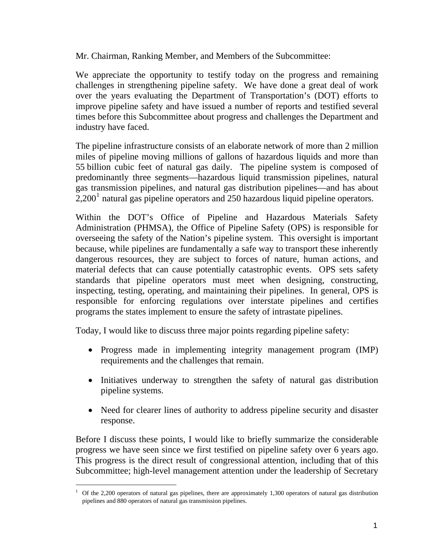Mr. Chairman, Ranking Member, and Members of the Subcommittee:

We appreciate the opportunity to testify today on the progress and remaining challenges in strengthening pipeline safety. We have done a great deal of work over the years evaluating the Department of Transportation's (DOT) efforts to improve pipeline safety and have issued a number of reports and testified several times before this Subcommittee about progress and challenges the Department and industry have faced.

The pipeline infrastructure consists of an elaborate network of more than 2 million miles of pipeline moving millions of gallons of hazardous liquids and more than 55 billion cubic feet of natural gas daily. The pipeline system is composed of predominantly three segments—hazardous liquid transmission pipelines, natural gas transmission pipelines, and natural gas distribution pipelines—and has about  $2,200<sup>1</sup>$  $2,200<sup>1</sup>$  $2,200<sup>1</sup>$  natural gas pipeline operators and 250 hazardous liquid pipeline operators.

Within the DOT's Office of Pipeline and Hazardous Materials Safety Administration (PHMSA), the Office of Pipeline Safety (OPS) is responsible for overseeing the safety of the Nation's pipeline system. This oversight is important because, while pipelines are fundamentally a safe way to transport these inherently dangerous resources, they are subject to forces of nature, human actions, and material defects that can cause potentially catastrophic events. OPS sets safety standards that pipeline operators must meet when designing, constructing, inspecting, testing, operating, and maintaining their pipelines. In general, OPS is responsible for enforcing regulations over interstate pipelines and certifies programs the states implement to ensure the safety of intrastate pipelines.

Today, I would like to discuss three major points regarding pipeline safety:

- Progress made in implementing integrity management program (IMP) requirements and the challenges that remain.
- Initiatives underway to strengthen the safety of natural gas distribution pipeline systems.
- Need for clearer lines of authority to address pipeline security and disaster response.

Before I discuss these points, I would like to briefly summarize the considerable progress we have seen since we first testified on pipeline safety over 6 years ago. This progress is the direct result of congressional attention, including that of this Subcommittee; high-level management attention under the leadership of Secretary

<span id="page-1-0"></span> $\overline{a}$ <sup>1</sup> Of the 2,200 operators of natural gas pipelines, there are approximately 1,300 operators of natural gas distribution pipelines and 880 operators of natural gas transmission pipelines.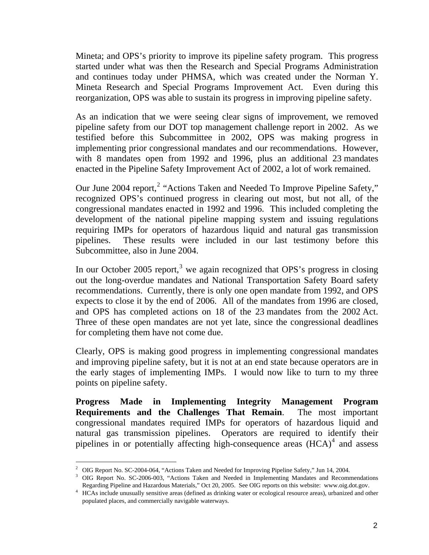Mineta; and OPS's priority to improve its pipeline safety program. This progress started under what was then the Research and Special Programs Administration and continues today under PHMSA, which was created under the Norman Y. Mineta Research and Special Programs Improvement Act. Even during this reorganization, OPS was able to sustain its progress in improving pipeline safety.

As an indication that we were seeing clear signs of improvement, we removed pipeline safety from our DOT top management challenge report in 2002. As we testified before this Subcommittee in 2002, OPS was making progress in implementing prior congressional mandates and our recommendations. However, with 8 mandates open from 1992 and 1996, plus an additional 23 mandates enacted in the Pipeline Safety Improvement Act of 2002, a lot of work remained.

Our June [2](#page-2-0)004 report,<sup>2</sup> "Actions Taken and Needed To Improve Pipeline Safety," recognized OPS's continued progress in clearing out most, but not all, of the congressional mandates enacted in 1992 and 1996. This included completing the development of the national pipeline mapping system and issuing regulations requiring IMPs for operators of hazardous liquid and natural gas transmission pipelines. These results were included in our last testimony before this Subcommittee, also in June 2004.

In our October 2005 report,<sup>[3](#page-2-1)</sup> we again recognized that OPS's progress in closing out the long-overdue mandates and National Transportation Safety Board safety recommendations. Currently, there is only one open mandate from 1992, and OPS expects to close it by the end of 2006. All of the mandates from 1996 are closed, and OPS has completed actions on 18 of the 23 mandates from the 2002 Act. Three of these open mandates are not yet late, since the congressional deadlines for completing them have not come due.

Clearly, OPS is making good progress in implementing congressional mandates and improving pipeline safety, but it is not at an end state because operators are in the early stages of implementing IMPs. I would now like to turn to my three points on pipeline safety.

**Progress Made in Implementing Integrity Management Program Requirements and the Challenges That Remain**. The most important congressional mandates required IMPs for operators of hazardous liquid and natural gas transmission pipelines. Operators are required to identify their pipelines in or potentially affecting high-consequence areas  $(HCA)^4$  $(HCA)^4$  and assess

<span id="page-2-0"></span><sup>&</sup>lt;sup>2</sup> OIG Report No. SC-2004-064, "Actions Taken and Needed for Improving Pipeline Safety," Jun 14, 2004.

<span id="page-2-1"></span><sup>&</sup>lt;sup>3</sup> OIG Report No. SC-2006-003, "Actions Taken and Needed in Implementing Mandates and Recommendations Regarding Pipeline and Hazardous Materials," Oct 20, 2005. See OIG reports on this website: www.oig.dot.gov. 4

<span id="page-2-2"></span><sup>&</sup>lt;sup>4</sup> HCAs include unusually sensitive areas (defined as drinking water or ecological resource areas), urbanized and other populated places, and commercially navigable waterways.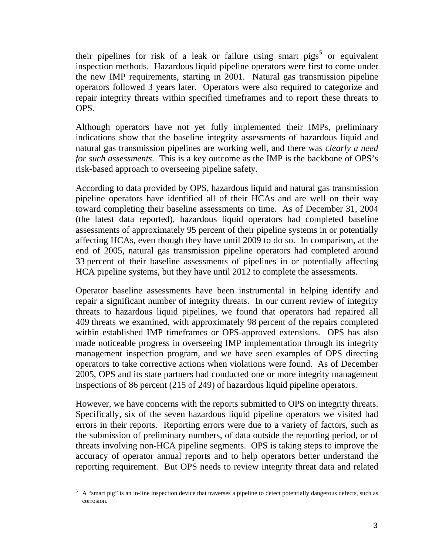their pipelines for risk of a leak or failure using smart pigs<sup>[5](#page-3-0)</sup> or equivalent inspection methods. Hazardous liquid pipeline operators were first to come under the new IMP requirements, starting in 2001. Natural gas transmission pipeline operators followed 3 years later. Operators were also required to categorize and repair integrity threats within specified timeframes and to report these threats to OPS.

Although operators have not yet fully implemented their IMPs, preliminary indications show that the baseline integrity assessments of hazardous liquid and natural gas transmission pipelines are working well, and there was *clearly a need for such assessments*. This is a key outcome as the IMP is the backbone of OPS's risk-based approach to overseeing pipeline safety.

According to data provided by OPS, hazardous liquid and natural gas transmission pipeline operators have identified all of their HCAs and are well on their way toward completing their baseline assessments on time. As of December 31, 2004 (the latest data reported), hazardous liquid operators had completed baseline assessments of approximately 95 percent of their pipeline systems in or potentially affecting HCAs, even though they have until 2009 to do so. In comparison, at the end of 2005, natural gas transmission pipeline operators had completed around 33 percent of their baseline assessments of pipelines in or potentially affecting HCA pipeline systems, but they have until 2012 to complete the assessments.

Operator baseline assessments have been instrumental in helping identify and repair a significant number of integrity threats. In our current review of integrity threats to hazardous liquid pipelines, we found that operators had repaired all 409 threats we examined, with approximately 98 percent of the repairs completed within established IMP timeframes or OPS-approved extensions. OPS has also made noticeable progress in overseeing IMP implementation through its integrity management inspection program, and we have seen examples of OPS directing operators to take corrective actions when violations were found. As of December 2005, OPS and its state partners had conducted one or more integrity management inspections of 86 percent (215 of 249) of hazardous liquid pipeline operators.

However, we have concerns with the reports submitted to OPS on integrity threats. Specifically, six of the seven hazardous liquid pipeline operators we visited had errors in their reports. Reporting errors were due to a variety of factors, such as the submission of preliminary numbers, of data outside the reporting period, or of threats involving non-HCA pipeline segments. OPS is taking steps to improve the accuracy of operator annual reports and to help operators better understand the reporting requirement. But OPS needs to review integrity threat data and related

<span id="page-3-0"></span> $5$  A "smart pig" is an in-line inspection device that traverses a pipeline to detect potentially dangerous defects, such as corrosion.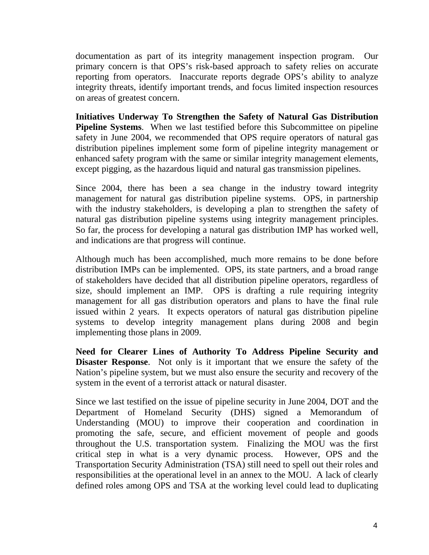documentation as part of its integrity management inspection program. Our primary concern is that OPS's risk-based approach to safety relies on accurate reporting from operators. Inaccurate reports degrade OPS's ability to analyze integrity threats, identify important trends, and focus limited inspection resources on areas of greatest concern.

**Initiatives Underway To Strengthen the Safety of Natural Gas Distribution Pipeline Systems.** When we last testified before this Subcommittee on pipeline safety in June 2004, we recommended that OPS require operators of natural gas distribution pipelines implement some form of pipeline integrity management or enhanced safety program with the same or similar integrity management elements, except pigging, as the hazardous liquid and natural gas transmission pipelines.

Since 2004, there has been a sea change in the industry toward integrity management for natural gas distribution pipeline systems. OPS, in partnership with the industry stakeholders, is developing a plan to strengthen the safety of natural gas distribution pipeline systems using integrity management principles. So far, the process for developing a natural gas distribution IMP has worked well, and indications are that progress will continue.

Although much has been accomplished, much more remains to be done before distribution IMPs can be implemented. OPS, its state partners, and a broad range of stakeholders have decided that all distribution pipeline operators, regardless of size, should implement an IMP. OPS is drafting a rule requiring integrity management for all gas distribution operators and plans to have the final rule issued within 2 years. It expects operators of natural gas distribution pipeline systems to develop integrity management plans during 2008 and begin implementing those plans in 2009.

**Need for Clearer Lines of Authority To Address Pipeline Security and Disaster Response**. Not only is it important that we ensure the safety of the Nation's pipeline system, but we must also ensure the security and recovery of the system in the event of a terrorist attack or natural disaster.

Since we last testified on the issue of pipeline security in June 2004, DOT and the Department of Homeland Security (DHS) signed a Memorandum of Understanding (MOU) to improve their cooperation and coordination in promoting the safe, secure, and efficient movement of people and goods throughout the U.S. transportation system. Finalizing the MOU was the first critical step in what is a very dynamic process. However, OPS and the Transportation Security Administration (TSA) still need to spell out their roles and responsibilities at the operational level in an annex to the MOU. A lack of clearly defined roles among OPS and TSA at the working level could lead to duplicating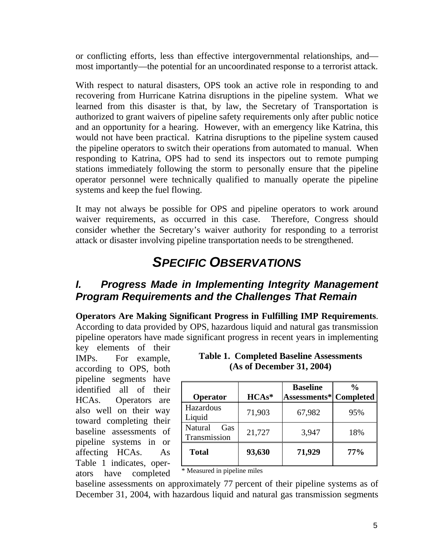or conflicting efforts, less than effective intergovernmental relationships, and most importantly—the potential for an uncoordinated response to a terrorist attack.

With respect to natural disasters, OPS took an active role in responding to and recovering from Hurricane Katrina disruptions in the pipeline system. What we learned from this disaster is that, by law, the Secretary of Transportation is authorized to grant waivers of pipeline safety requirements only after public notice and an opportunity for a hearing. However, with an emergency like Katrina, this would not have been practical. Katrina disruptions to the pipeline system caused the pipeline operators to switch their operations from automated to manual. When responding to Katrina, OPS had to send its inspectors out to remote pumping stations immediately following the storm to personally ensure that the pipeline operator personnel were technically qualified to manually operate the pipeline systems and keep the fuel flowing.

It may not always be possible for OPS and pipeline operators to work around waiver requirements, as occurred in this case. Therefore, Congress should consider whether the Secretary's waiver authority for responding to a terrorist attack or disaster involving pipeline transportation needs to be strengthened.

## *SPECIFIC OBSERVATIONS*

#### *I. Progress Made in Implementing Integrity Management Program Requirements and the Challenges That Remain*

**Operators Are Making Significant Progress in Fulfilling IMP Requirements**. According to data provided by OPS, hazardous liquid and natural gas transmission pipeline operators have made significant progress in recent years in implementing

key elements of their IMPs. For example, according to OPS, both pipeline segments have identified all of their HCAs. Operators are also well on their way toward completing their baseline assessments of pipeline systems in or affecting HCAs. As Table 1 indicates, operators have completed

#### **Table 1. Completed Baseline Assessments (As of December 31, 2004)**

|                                |         | <b>Baseline</b>                | $\frac{0}{0}$ |
|--------------------------------|---------|--------------------------------|---------------|
| Operator                       | $HCAs*$ | <b>Assessments*  Completed</b> |               |
| Hazardous<br>Liquid            | 71,903  | 67,982                         | 95%           |
| Natural<br>Gas<br>Transmission | 21,727  | 3,947                          | 18%           |
| <b>Total</b>                   | 93,630  | 71,929                         | 77%           |

\* Measured in pipeline miles

baseline assessments on approximately 77 percent of their pipeline systems as of December 31, 2004, with hazardous liquid and natural gas transmission segments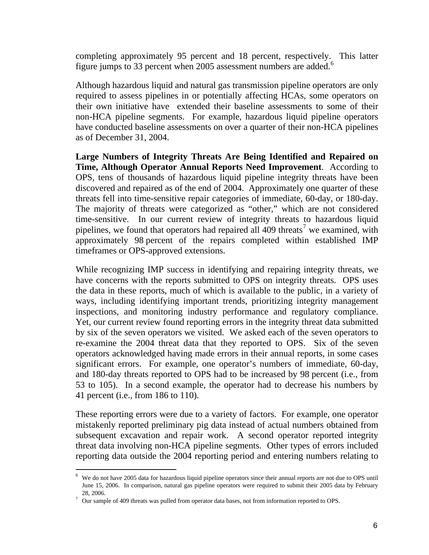completing approximately 95 percent and 18 percent, respectively. This latter figure jumps to 33 percent when 2005 assessment numbers are added.<sup>[6](#page-6-0)</sup>

Although hazardous liquid and natural gas transmission pipeline operators are only required to assess pipelines in or potentially affecting HCAs, some operators on their own initiative have extended their baseline assessments to some of their non-HCA pipeline segments. For example, hazardous liquid pipeline operators have conducted baseline assessments on over a quarter of their non-HCA pipelines as of December 31, 2004.

**Large Numbers of Integrity Threats Are Being Identified and Repaired on Time, Although Operator Annual Reports Need Improvement**. According to OPS, tens of thousands of hazardous liquid pipeline integrity threats have been discovered and repaired as of the end of 2004. Approximately one quarter of these threats fell into time-sensitive repair categories of immediate, 60-day, or 180-day. The majority of threats were categorized as "other," which are not considered time-sensitive. In our current review of integrity threats to hazardous liquid pipelines, we found that operators had repaired all  $409$  threats<sup>[7](#page-6-1)</sup> we examined, with approximately 98 percent of the repairs completed within established IMP timeframes or OPS-approved extensions.

While recognizing IMP success in identifying and repairing integrity threats, we have concerns with the reports submitted to OPS on integrity threats. OPS uses the data in these reports, much of which is available to the public, in a variety of ways, including identifying important trends, prioritizing integrity management inspections, and monitoring industry performance and regulatory compliance. Yet, our current review found reporting errors in the integrity threat data submitted by six of the seven operators we visited. We asked each of the seven operators to re-examine the 2004 threat data that they reported to OPS. Six of the seven operators acknowledged having made errors in their annual reports, in some cases significant errors. For example, one operator's numbers of immediate, 60-day, and 180-day threats reported to OPS had to be increased by 98 percent (i.e., from 53 to 105). In a second example, the operator had to decrease his numbers by 41 percent (i.e., from 186 to 110).

These reporting errors were due to a variety of factors. For example, one operator mistakenly reported preliminary pig data instead of actual numbers obtained from subsequent excavation and repair work. A second operator reported integrity threat data involving non-HCA pipeline segments. Other types of errors included reporting data outside the 2004 reporting period and entering numbers relating to

 $\overline{a}$ 

<span id="page-6-0"></span><sup>&</sup>lt;sup>6</sup> We do not have 2005 data for hazardous liquid pipeline operators since their annual reports are not due to OPS until June 15, 2006. In comparison, natural gas pipeline operators were required to submit their 2005 data by February

<span id="page-6-1"></span><sup>28, 2006.&</sup>lt;br><sup>7</sup> Our sample of 409 threats was pulled from operator data bases, not from information reported to OPS.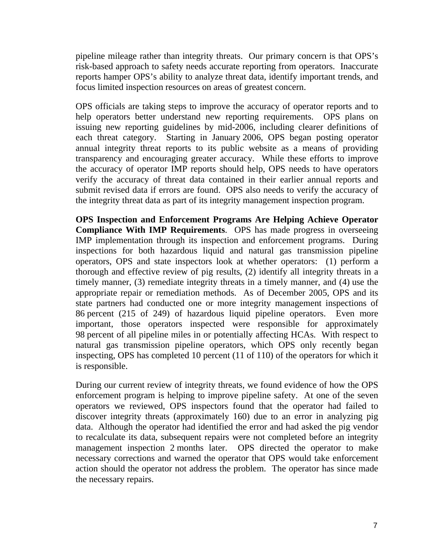pipeline mileage rather than integrity threats. Our primary concern is that OPS's risk-based approach to safety needs accurate reporting from operators. Inaccurate reports hamper OPS's ability to analyze threat data, identify important trends, and focus limited inspection resources on areas of greatest concern.

OPS officials are taking steps to improve the accuracy of operator reports and to help operators better understand new reporting requirements. OPS plans on issuing new reporting guidelines by mid-2006, including clearer definitions of each threat category. Starting in January 2006, OPS began posting operator annual integrity threat reports to its public website as a means of providing transparency and encouraging greater accuracy. While these efforts to improve the accuracy of operator IMP reports should help, OPS needs to have operators verify the accuracy of threat data contained in their earlier annual reports and submit revised data if errors are found. OPS also needs to verify the accuracy of the integrity threat data as part of its integrity management inspection program.

**OPS Inspection and Enforcement Programs Are Helping Achieve Operator Compliance With IMP Requirements**. OPS has made progress in overseeing IMP implementation through its inspection and enforcement programs. During inspections for both hazardous liquid and natural gas transmission pipeline operators, OPS and state inspectors look at whether operators: (1) perform a thorough and effective review of pig results, (2) identify all integrity threats in a timely manner, (3) remediate integrity threats in a timely manner, and (4) use the appropriate repair or remediation methods. As of December 2005, OPS and its state partners had conducted one or more integrity management inspections of 86 percent (215 of 249) of hazardous liquid pipeline operators. Even more important, those operators inspected were responsible for approximately 98 percent of all pipeline miles in or potentially affecting HCAs. With respect to natural gas transmission pipeline operators, which OPS only recently began inspecting, OPS has completed 10 percent (11 of 110) of the operators for which it is responsible.

During our current review of integrity threats, we found evidence of how the OPS enforcement program is helping to improve pipeline safety. At one of the seven operators we reviewed, OPS inspectors found that the operator had failed to discover integrity threats (approximately 160) due to an error in analyzing pig data. Although the operator had identified the error and had asked the pig vendor to recalculate its data, subsequent repairs were not completed before an integrity management inspection 2 months later. OPS directed the operator to make necessary corrections and warned the operator that OPS would take enforcement action should the operator not address the problem. The operator has since made the necessary repairs.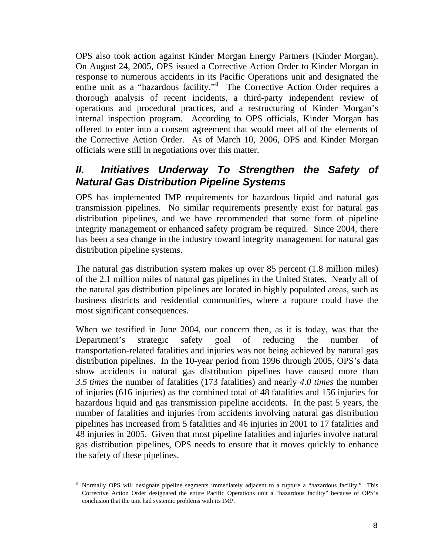OPS also took action against Kinder Morgan Energy Partners (Kinder Morgan). On August 24, 2005, OPS issued a Corrective Action Order to Kinder Morgan in response to numerous accidents in its Pacific Operations unit and designated the entire unit as a "hazardous facility."<sup>[8](#page-8-0)</sup> The Corrective Action Order requires a thorough analysis of recent incidents, a third-party independent review of operations and procedural practices, and a restructuring of Kinder Morgan's internal inspection program. According to OPS officials, Kinder Morgan has offered to enter into a consent agreement that would meet all of the elements of the Corrective Action Order. As of March 10, 2006, OPS and Kinder Morgan officials were still in negotiations over this matter.

### *II. Initiatives Underway To Strengthen the Safety of Natural Gas Distribution Pipeline Systems*

OPS has implemented IMP requirements for hazardous liquid and natural gas transmission pipelines. No similar requirements presently exist for natural gas distribution pipelines, and we have recommended that some form of pipeline integrity management or enhanced safety program be required. Since 2004, there has been a sea change in the industry toward integrity management for natural gas distribution pipeline systems.

The natural gas distribution system makes up over 85 percent (1.8 million miles) of the 2.1 million miles of natural gas pipelines in the United States. Nearly all of the natural gas distribution pipelines are located in highly populated areas, such as business districts and residential communities, where a rupture could have the most significant consequences.

When we testified in June 2004, our concern then, as it is today, was that the Department's strategic safety goal of reducing the number of transportation-related fatalities and injuries was not being achieved by natural gas distribution pipelines. In the 10-year period from 1996 through 2005, OPS's data show accidents in natural gas distribution pipelines have caused more than *3.5 times* the number of fatalities (173 fatalities) and nearly *4.0 times* the number of injuries (616 injuries) as the combined total of 48 fatalities and 156 injuries for hazardous liquid and gas transmission pipeline accidents. In the past 5 years, the number of fatalities and injuries from accidents involving natural gas distribution pipelines has increased from 5 fatalities and 46 injuries in 2001 to 17 fatalities and 48 injuries in 2005. Given that most pipeline fatalities and injuries involve natural gas distribution pipelines, OPS needs to ensure that it moves quickly to enhance the safety of these pipelines.

<span id="page-8-0"></span> $\overline{a}$ 8 Normally OPS will designate pipeline segments immediately adjacent to a rupture a "hazardous facility." This Corrective Action Order designated the entire Pacific Operations unit a "hazardous facility" because of OPS's conclusion that the unit had systemic problems with its IMP.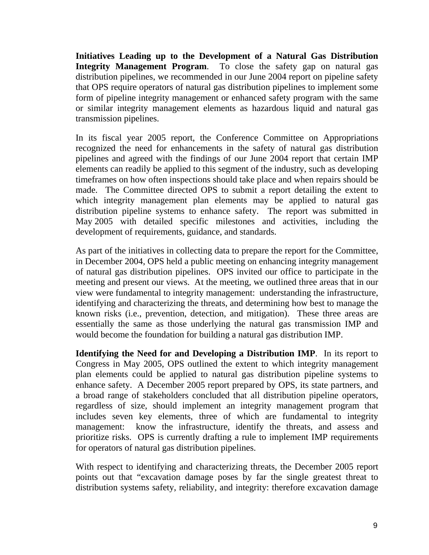**Initiatives Leading up to the Development of a Natural Gas Distribution Integrity Management Program**. To close the safety gap on natural gas distribution pipelines, we recommended in our June 2004 report on pipeline safety that OPS require operators of natural gas distribution pipelines to implement some form of pipeline integrity management or enhanced safety program with the same or similar integrity management elements as hazardous liquid and natural gas transmission pipelines.

In its fiscal year 2005 report, the Conference Committee on Appropriations recognized the need for enhancements in the safety of natural gas distribution pipelines and agreed with the findings of our June 2004 report that certain IMP elements can readily be applied to this segment of the industry, such as developing timeframes on how often inspections should take place and when repairs should be made. The Committee directed OPS to submit a report detailing the extent to which integrity management plan elements may be applied to natural gas distribution pipeline systems to enhance safety. The report was submitted in May 2005 with detailed specific milestones and activities, including the development of requirements, guidance, and standards.

As part of the initiatives in collecting data to prepare the report for the Committee, in December 2004, OPS held a public meeting on enhancing integrity management of natural gas distribution pipelines. OPS invited our office to participate in the meeting and present our views. At the meeting, we outlined three areas that in our view were fundamental to integrity management: understanding the infrastructure, identifying and characterizing the threats, and determining how best to manage the known risks (i.e., prevention, detection, and mitigation). These three areas are essentially the same as those underlying the natural gas transmission IMP and would become the foundation for building a natural gas distribution IMP.

**Identifying the Need for and Developing a Distribution IMP**. In its report to Congress in May 2005, OPS outlined the extent to which integrity management plan elements could be applied to natural gas distribution pipeline systems to enhance safety. A December 2005 report prepared by OPS, its state partners, and a broad range of stakeholders concluded that all distribution pipeline operators, regardless of size, should implement an integrity management program that includes seven key elements, three of which are fundamental to integrity management: know the infrastructure, identify the threats, and assess and prioritize risks. OPS is currently drafting a rule to implement IMP requirements for operators of natural gas distribution pipelines.

With respect to identifying and characterizing threats, the December 2005 report points out that "excavation damage poses by far the single greatest threat to distribution systems safety, reliability, and integrity: therefore excavation damage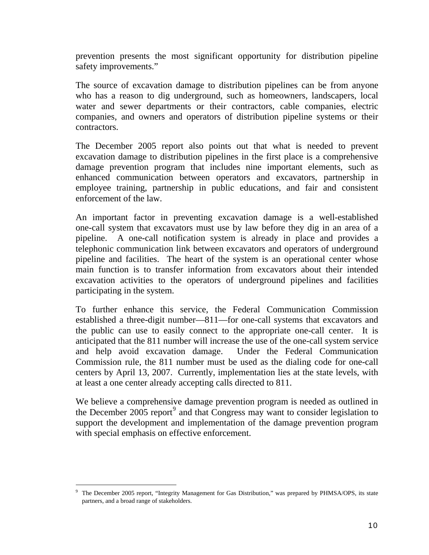prevention presents the most significant opportunity for distribution pipeline safety improvements."

The source of excavation damage to distribution pipelines can be from anyone who has a reason to dig underground, such as homeowners, landscapers, local water and sewer departments or their contractors, cable companies, electric companies, and owners and operators of distribution pipeline systems or their contractors.

The December 2005 report also points out that what is needed to prevent excavation damage to distribution pipelines in the first place is a comprehensive damage prevention program that includes nine important elements, such as enhanced communication between operators and excavators, partnership in employee training, partnership in public educations, and fair and consistent enforcement of the law.

An important factor in preventing excavation damage is a well-established one-call system that excavators must use by law before they dig in an area of a pipeline. A one-call notification system is already in place and provides a telephonic communication link between excavators and operators of underground pipeline and facilities. The heart of the system is an operational center whose main function is to transfer information from excavators about their intended excavation activities to the operators of underground pipelines and facilities participating in the system.

To further enhance this service, the Federal Communication Commission established a three-digit number—811—for one-call systems that excavators and the public can use to easily connect to the appropriate one-call center. It is anticipated that the 811 number will increase the use of the one-call system service and help avoid excavation damage. Under the Federal Communication Commission rule, the 811 number must be used as the dialing code for one-call centers by April 13, 2007. Currently, implementation lies at the state levels, with at least a one center already accepting calls directed to 811.

We believe a comprehensive damage prevention program is needed as outlined in the December 2005 report<sup>[9](#page-10-0)</sup> and that Congress may want to consider legislation to support the development and implementation of the damage prevention program with special emphasis on effective enforcement.

<span id="page-10-0"></span><sup>9</sup> The December 2005 report, "Integrity Management for Gas Distribution," was prepared by PHMSA/OPS, its state partners, and a broad range of stakeholders.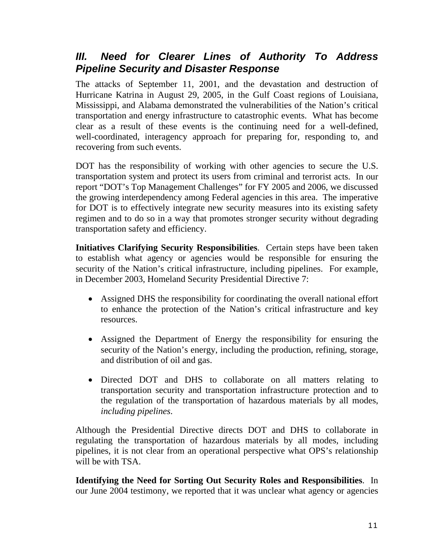### *III. Need for Clearer Lines of Authority To Address Pipeline Security and Disaster Response*

The attacks of September 11, 2001, and the devastation and destruction of Hurricane Katrina in August 29, 2005, in the Gulf Coast regions of Louisiana, Mississippi, and Alabama demonstrated the vulnerabilities of the Nation's critical transportation and energy infrastructure to catastrophic events. What has become clear as a result of these events is the continuing need for a well-defined, well-coordinated, interagency approach for preparing for, responding to, and recovering from such events.

DOT has the responsibility of working with other agencies to secure the U.S. transportation system and protect its users from criminal and terrorist acts. In our report "DOT's Top Management Challenges" for FY 2005 and 2006, we discussed the growing interdependency among Federal agencies in this area. The imperative for DOT is to effectively integrate new security measures into its existing safety regimen and to do so in a way that promotes stronger security without degrading transportation safety and efficiency.

**Initiatives Clarifying Security Responsibilities**. Certain steps have been taken to establish what agency or agencies would be responsible for ensuring the security of the Nation's critical infrastructure, including pipelines. For example, in December 2003, Homeland Security Presidential Directive 7:

- Assigned DHS the responsibility for coordinating the overall national effort to enhance the protection of the Nation's critical infrastructure and key resources.
- Assigned the Department of Energy the responsibility for ensuring the security of the Nation's energy, including the production, refining, storage, and distribution of oil and gas.
- Directed DOT and DHS to collaborate on all matters relating to transportation security and transportation infrastructure protection and to the regulation of the transportation of hazardous materials by all modes, *including pipelines*.

Although the Presidential Directive directs DOT and DHS to collaborate in regulating the transportation of hazardous materials by all modes, including pipelines, it is not clear from an operational perspective what OPS's relationship will be with TSA.

**Identifying the Need for Sorting Out Security Roles and Responsibilities**. In our June 2004 testimony, we reported that it was unclear what agency or agencies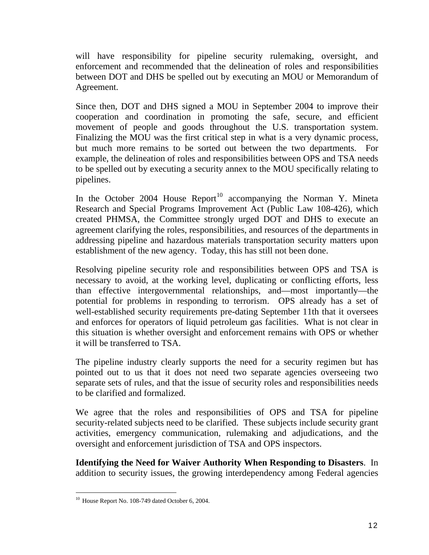will have responsibility for pipeline security rulemaking, oversight, and enforcement and recommended that the delineation of roles and responsibilities between DOT and DHS be spelled out by executing an MOU or Memorandum of Agreement.

Since then, DOT and DHS signed a MOU in September 2004 to improve their cooperation and coordination in promoting the safe, secure, and efficient movement of people and goods throughout the U.S. transportation system. Finalizing the MOU was the first critical step in what is a very dynamic process, but much more remains to be sorted out between the two departments. For example, the delineation of roles and responsibilities between OPS and TSA needs to be spelled out by executing a security annex to the MOU specifically relating to pipelines.

In the October 2004 House Report<sup>[10](#page-12-0)</sup> accompanying the Norman Y. Mineta Research and Special Programs Improvement Act (Public Law 108-426), which created PHMSA, the Committee strongly urged DOT and DHS to execute an agreement clarifying the roles, responsibilities, and resources of the departments in addressing pipeline and hazardous materials transportation security matters upon establishment of the new agency. Today, this has still not been done.

Resolving pipeline security role and responsibilities between OPS and TSA is necessary to avoid, at the working level, duplicating or conflicting efforts, less than effective intergovernmental relationships, and—most importantly—the potential for problems in responding to terrorism. OPS already has a set of well-established security requirements pre-dating September 11th that it oversees and enforces for operators of liquid petroleum gas facilities. What is not clear in this situation is whether oversight and enforcement remains with OPS or whether it will be transferred to TSA.

The pipeline industry clearly supports the need for a security regimen but has pointed out to us that it does not need two separate agencies overseeing two separate sets of rules, and that the issue of security roles and responsibilities needs to be clarified and formalized.

We agree that the roles and responsibilities of OPS and TSA for pipeline security-related subjects need to be clarified. These subjects include security grant activities, emergency communication, rulemaking and adjudications, and the oversight and enforcement jurisdiction of TSA and OPS inspectors.

**Identifying the Need for Waiver Authority When Responding to Disasters**. In addition to security issues, the growing interdependency among Federal agencies

<span id="page-12-0"></span> $\overline{a}$  $10$  House Report No. 108-749 dated October 6, 2004.